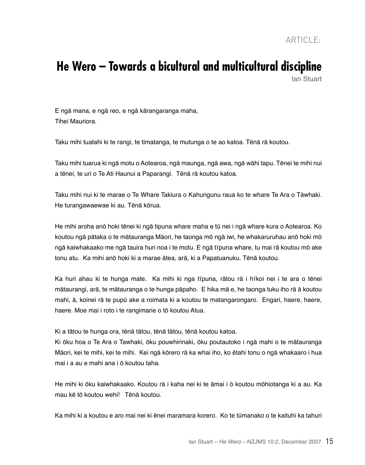## **He Wero – Towards a bicultural and multicultural discipline** Ian Stuart

E ngā mana, e ngā reo, e ngā kārangaranga maha, Tihei Mauriora.

Taku mihi tuatahi ki te rangi, te timatanga, te mutunga o te ao katoa. Tēnā rā koutou.

Taku mihi tuarua ki ngā motu o Aotearoa, ngā maunga, ngā awa, ngā wāhi tapu. Tēnei te mihi nui a tēnei, te uri o Te Ati Haunui a Paparangi. Tēnā rā koutou katoa.

Taku mihi nui ki te marae o Te Whare Takiura o Kahungunu raua ko te whare Te Ara o Tāwhaki. He turangawaewae ki au. Tēnā kōrua.

He mihi aroha anō hoki tēnei ki ngā tipuna whare maha e tū nei i ngā whare kura o Aotearoa. Ko koutou ngā pātaka o te mātauranga Māori, he taonga mō ngā iwi, he whakaruruhau anō hoki mō ngā kaiwhakaako me ngā tauira huri noa i te motu. E ngā tīpuna whare, tu mai rā koutou mō ake tonu atu. Ka mihi anō hoki ki a marae ātea, arā, ki a Papatuanuku. Tēnā koutou.

Ka huri ahau ki te hunga mate. Ka mihi ki nga tīpuna, rātou rā i hīkoi nei i te ara o tēnei mātaurangi, arā, te mātauranga o te hunga pāpaho. E hika mā e, he taonga tuku iho rā ā koutou mahi, ā, koinei rā te pupū ake a roimata ki a koutou te matangarongaro. Engari, haere, haere, haere. Moe mai i roto i te rangimarie o tō koutou Atua.

Ki a tātou te hunga ora, tēnā tātou, tēnā tātou, tēnā koutou katoa.

Ki ōku hoa o Te Ara o Tawhaki, ōku pouwhirinaki, ōku poutautoko i ngā mahi o te mātauranga Māori, kei te mihi, kei te mihi. Kei ngā kōrero rā ka whai iho, ko ētahi tonu o ngā whakaaro i hua mai i a au e mahi ana i ō koutou taha.

He mihi ki ōku kaiwhakaako. Koutou rā i kaha nei ki te āmai i ō koutou mōhiotanga ki a au. Ka mau kē tō koutou wehi! Tēnā koutou.

Ka mihi ki a koutou e aro mai nei ki ēnei maramara korero. Ko te tūmanako o te kaituhi ka tahuri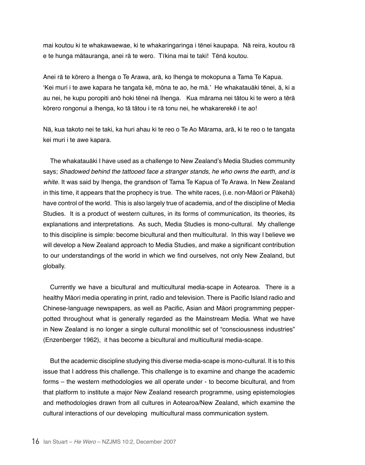mai koutou ki te whakawaewae, ki te whakaringaringa i tēnei kaupapa. Nā reira, koutou rā e te hunga mātauranga, anei rā te wero. Tīkina mai te taki! Tēnā koutou.

Anei rā te kōrero a Ihenga o Te Arawa, arā, ko Ihenga te mokopuna a Tama Te Kapua. 'Kei muri i te awe kapara he tangata kē, mōna te ao, he mā.' He whakatauāki tēnei, ā, ki a au nei, he kupu poropiti anō hoki tēnei nā Ihenga. Kua mārama nei tātou ki te wero a tērā kōrero rongonui a Ihenga, ko tā tātou i te rā tonu nei, he whakarerekē i te ao!

Nā, kua takoto nei te taki, ka huri ahau ki te reo o Te Ao Mārama, arā, ki te reo o te tangata kei muri i te awe kapara.

The whakatauāki I have used as a challenge to New Zealand's Media Studies community says; Shadowed behind the tattooed face a stranger stands, he who owns the earth, and is white. It was said by Ihenga, the grandson of Tama Te Kapua of Te Arawa. In New Zealand in this time, it appears that the prophecy is true. The white races, (i.e. non-Māori or Pākehā) have control of the world. This is also largely true of academia, and of the discipline of Media Studies. It is a product of western cultures, in its forms of communication, its theories, its explanations and interpretations. As such, Media Studies is mono-cultural. My challenge to this discipline is simple: become bicultural and then multicultural. In this way I believe we will develop a New Zealand approach to Media Studies, and make a significant contribution to our understandings of the world in which we find ourselves, not only New Zealand, but globally.

Currently we have a bicultural and multicultural media-scape in Aotearoa. There is a healthy Māori media operating in print, radio and television. There is Pacific Island radio and Chinese-language newspapers, as well as Pacific, Asian and Māori programming pepperpotted throughout what is generally regarded as the Mainstream Media. What we have in New Zealand is no longer a single cultural monolithic set of "consciousness industries" (Enzenberger 1962), it has become a bicultural and multicultural media-scape.

But the academic discipline studying this diverse media-scape is mono-cultural. It is to this issue that I address this challenge. This challenge is to examine and change the academic forms – the western methodologies we all operate under - to become bicultural, and from that platform to institute a major New Zealand research programme, using epistemologies and methodologies drawn from all cultures in Aotearoa/New Zealand, which examine the cultural interactions of our developing multicultural mass communication system.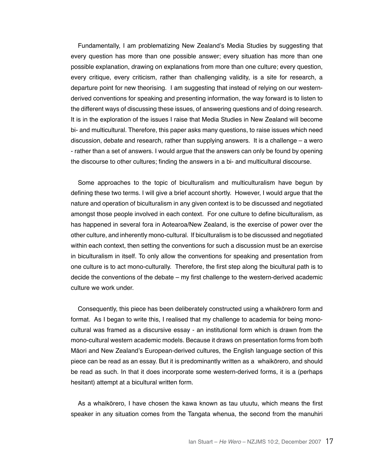Fundamentally, I am problematizing New Zealand's Media Studies by suggesting that every question has more than one possible answer; every situation has more than one possible explanation, drawing on explanations from more than one culture; every question, every critique, every criticism, rather than challenging validity, is a site for research, a departure point for new theorising. I am suggesting that instead of relying on our westernderived conventions for speaking and presenting information, the way forward is to listen to the different ways of discussing these issues, of answering questions and of doing research. It is in the exploration of the issues I raise that Media Studies in New Zealand will become bi- and multicultural. Therefore, this paper asks many questions, to raise issues which need discussion, debate and research, rather than supplying answers. It is a challenge – a wero - rather than a set of answers. I would argue that the answers can only be found by opening the discourse to other cultures; finding the answers in a bi- and multicultural discourse.

Some approaches to the topic of biculturalism and multiculturalism have begun by defining these two terms. I will give a brief account shortly. However, I would argue that the nature and operation of biculturalism in any given context is to be discussed and negotiated amongst those people involved in each context. For one culture to define biculturalism, as has happened in several fora in Aotearoa/New Zealand, is the exercise of power over the other culture, and inherently mono-cultural. If biculturalism is to be discussed and negotiated within each context, then setting the conventions for such a discussion must be an exercise in biculturalism in itself. To only allow the conventions for speaking and presentation from one culture is to act mono-culturally. Therefore, the first step along the bicultural path is to decide the conventions of the debate – my first challenge to the western-derived academic culture we work under.

Consequently, this piece has been deliberately constructed using a whaikōrero form and format. As I began to write this, I realised that my challenge to academia for being monocultural was framed as a discursive essay - an institutional form which is drawn from the mono-cultural western academic models. Because it draws on presentation forms from both Māori and New Zealand's European-derived cultures, the English language section of this piece can be read as an essay. But it is predominantly written as a whaikōrero, and should be read as such. In that it does incorporate some western-derived forms, it is a (perhaps hesitant) attempt at a bicultural written form.

As a whaikōrero, I have chosen the kawa known as tau utuutu, which means the first speaker in any situation comes from the Tangata whenua, the second from the manuhiri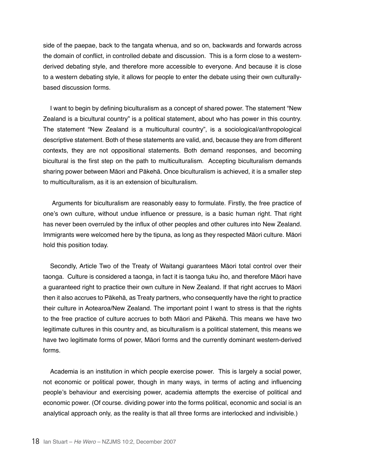side of the paepae, back to the tangata whenua, and so on, backwards and forwards across the domain of conflict, in controlled debate and discussion. This is a form close to a westernderived debating style, and therefore more accessible to everyone. And because it is close to a western debating style, it allows for people to enter the debate using their own culturallybased discussion forms.

I want to begin by defining biculturalism as a concept of shared power. The statement "New Zealand is a bicultural country" is a political statement, about who has power in this country. The statement "New Zealand is a multicultural country", is a sociological/anthropological descriptive statement. Both of these statements are valid, and, because they are from different contexts, they are not oppositional statements. Both demand responses, and becoming bicultural is the first step on the path to multiculturalism. Accepting biculturalism demands sharing power between Māori and Pākehā. Once biculturalism is achieved, it is a smaller step to multiculturalism, as it is an extension of biculturalism.

 Arguments for biculturalism are reasonably easy to formulate. Firstly, the free practice of one's own culture, without undue influence or pressure, is a basic human right. That right has never been overruled by the influx of other peoples and other cultures into New Zealand. Immigrants were welcomed here by the tipuna, as long as they respected Māori culture. Māori hold this position today.

Secondly, Article Two of the Treaty of Waitangi guarantees Māori total control over their taonga. Culture is considered a taonga, in fact it is taonga tuku iho, and therefore Māori have a guaranteed right to practice their own culture in New Zealand. If that right accrues to Māori then it also accrues to Pākehā, as Treaty partners, who consequently have the right to practice their culture in Aotearoa/New Zealand. The important point I want to stress is that the rights to the free practice of culture accrues to both Māori and Pākehā. This means we have two legitimate cultures in this country and, as biculturalism is a political statement, this means we have two legitimate forms of power, Māori forms and the currently dominant western-derived forms.

Academia is an institution in which people exercise power. This is largely a social power, not economic or political power, though in many ways, in terms of acting and influencing people's behaviour and exercising power, academia attempts the exercise of political and economic power. (Of course. dividing power into the forms political, economic and social is an analytical approach only, as the reality is that all three forms are interlocked and indivisible.)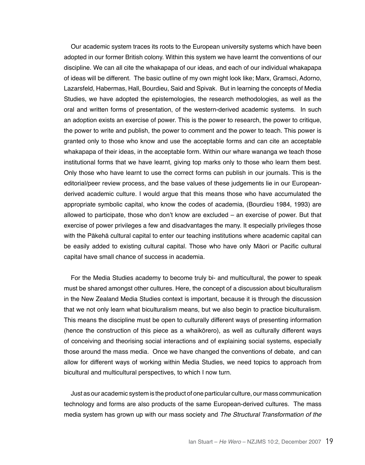Our academic system traces its roots to the European university systems which have been adopted in our former British colony. Within this system we have learnt the conventions of our discipline. We can all cite the whakapapa of our ideas, and each of our individual whakapapa of ideas will be different. The basic outline of my own might look like; Marx, Gramsci, Adorno, Lazarsfeld, Habermas, Hall, Bourdieu, Said and Spivak. But in learning the concepts of Media Studies, we have adopted the epistemologies, the research methodologies, as well as the oral and written forms of presentation, of the western-derived academic systems. In such an adoption exists an exercise of power. This is the power to research, the power to critique, the power to write and publish, the power to comment and the power to teach. This power is granted only to those who know and use the acceptable forms and can cite an acceptable whakapapa of their ideas, in the acceptable form. Within our whare wananga we teach those institutional forms that we have learnt, giving top marks only to those who learn them best. Only those who have learnt to use the correct forms can publish in our journals. This is the editorial/peer review process, and the base values of these judgements lie in our Europeanderived academic culture. I would argue that this means those who have accumulated the appropriate symbolic capital, who know the codes of academia, (Bourdieu 1984, 1993) are allowed to participate, those who don't know are excluded – an exercise of power. But that exercise of power privileges a few and disadvantages the many. It especially privileges those with the Pākehā cultural capital to enter our teaching institutions where academic capital can be easily added to existing cultural capital. Those who have only Māori or Pacific cultural capital have small chance of success in academia.

For the Media Studies academy to become truly bi- and multicultural, the power to speak must be shared amongst other cultures. Here, the concept of a discussion about biculturalism in the New Zealand Media Studies context is important, because it is through the discussion that we not only learn what biculturalism means, but we also begin to practice biculturalism. This means the discipline must be open to culturally different ways of presenting information (hence the construction of this piece as a whaikōrero), as well as culturally different ways of conceiving and theorising social interactions and of explaining social systems, especially those around the mass media. Once we have changed the conventions of debate, and can allow for different ways of working within Media Studies, we need topics to approach from bicultural and multicultural perspectives, to which I now turn.

Just as our academic system is the product of one particular culture, our mass communication technology and forms are also products of the same European-derived cultures. The mass media system has grown up with our mass society and *The Structural Transformation of the*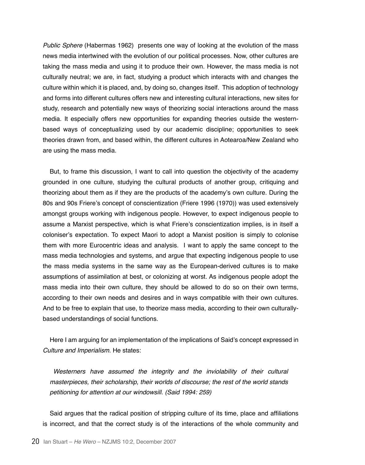Public Sphere (Habermas 1962) presents one way of looking at the evolution of the mass news media intertwined with the evolution of our political processes. Now, other cultures are taking the mass media and using it to produce their own. However, the mass media is not culturally neutral; we are, in fact, studying a product which interacts with and changes the culture within which it is placed, and, by doing so, changes itself. This adoption of technology and forms into different cultures offers new and interesting cultural interactions, new sites for study, research and potentially new ways of theorizing social interactions around the mass media. It especially offers new opportunities for expanding theories outside the westernbased ways of conceptualizing used by our academic discipline; opportunities to seek theories drawn from, and based within, the different cultures in Aotearoa/New Zealand who are using the mass media.

But, to frame this discussion, I want to call into question the objectivity of the academy grounded in one culture, studying the cultural products of another group, critiquing and theorizing about them as if they are the products of the academy's own culture. During the 80s and 90s Friere's concept of conscientization (Friere 1996 (1970)) was used extensively amongst groups working with indigenous people. However, to expect indigenous people to assume a Marxist perspective, which is what Friere's conscientization implies, is in itself a coloniser's expectation. To expect Maori to adopt a Marxist position is simply to colonise them with more Eurocentric ideas and analysis. I want to apply the same concept to the mass media technologies and systems, and argue that expecting indigenous people to use the mass media systems in the same way as the European-derived cultures is to make assumptions of assimilation at best, or colonizing at worst. As indigenous people adopt the mass media into their own culture, they should be allowed to do so on their own terms, according to their own needs and desires and in ways compatible with their own cultures. And to be free to explain that use, to theorize mass media, according to their own culturallybased understandings of social functions.

Here I am arguing for an implementation of the implications of Said's concept expressed in Culture and Imperialism. He states:

Westerners have assumed the integrity and the inviolability of their cultural masterpieces, their scholarship, their worlds of discourse; the rest of the world stands petitioning for attention at our windowsill. (Said 1994: 259)

Said argues that the radical position of stripping culture of its time, place and affiliations is incorrect, and that the correct study is of the interactions of the whole community and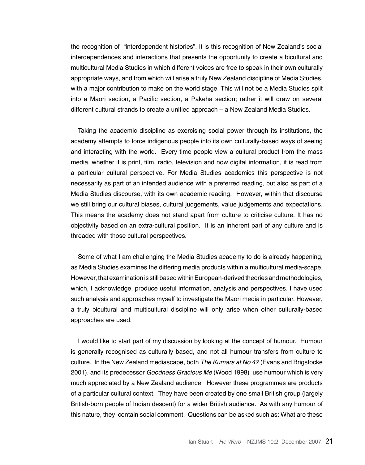the recognition of "interdependent histories". It is this recognition of New Zealand's social interdependences and interactions that presents the opportunity to create a bicultural and multicultural Media Studies in which different voices are free to speak in their own culturally appropriate ways, and from which will arise a truly New Zealand discipline of Media Studies, with a major contribution to make on the world stage. This will not be a Media Studies split into a Māori section, a Pacific section, a Pākehā section; rather it will draw on several different cultural strands to create a unified approach – a New Zealand Media Studies.

Taking the academic discipline as exercising social power through its institutions, the academy attempts to force indigenous people into its own culturally-based ways of seeing and interacting with the world. Every time people view a cultural product from the mass media, whether it is print, film, radio, television and now digital information, it is read from a particular cultural perspective. For Media Studies academics this perspective is not necessarily as part of an intended audience with a preferred reading, but also as part of a Media Studies discourse, with its own academic reading. However, within that discourse we still bring our cultural biases, cultural judgements, value judgements and expectations. This means the academy does not stand apart from culture to criticise culture. It has no objectivity based on an extra-cultural position. It is an inherent part of any culture and is threaded with those cultural perspectives.

Some of what I am challenging the Media Studies academy to do is already happening, as Media Studies examines the differing media products within a multicultural media-scape. However, that examination is still based within European-derived theories and methodologies, which, I acknowledge, produce useful information, analysis and perspectives. I have used such analysis and approaches myself to investigate the Māori media in particular. However, a truly bicultural and multicultural discipline will only arise when other culturally-based approaches are used.

I would like to start part of my discussion by looking at the concept of humour. Humour is generally recognised as culturally based, and not all humour transfers from culture to culture. In the New Zealand mediascape, both The Kumars at No 42 (Evans and Brigstocke 2001). and its predecessor Goodness Gracious Me (Wood 1998) use humour which is very much appreciated by a New Zealand audience. However these programmes are products of a particular cultural context. They have been created by one small British group (largely British-born people of Indian descent) for a wider British audience. As with any humour of this nature, they contain social comment. Questions can be asked such as: What are these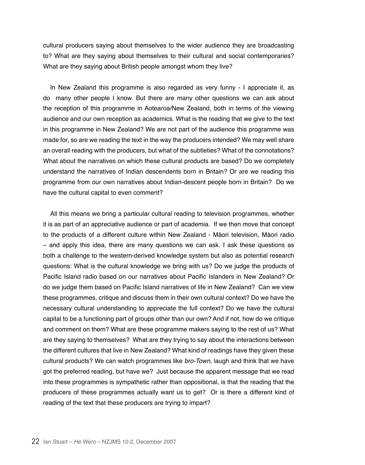cultural producers saying about themselves to the wider audience they are broadcasting to? What are they saying about themselves to their cultural and social contemporaries? What are they saying about British people amongst whom they live?

In New Zealand this programme is also regarded as very funny - I appreciate it, as do many other people I know. But there are many other questions we can ask about the reception of this programme in Aotearoa/New Zealand, both in terms of the viewing audience and our own reception as academics. What is the reading that we give to the text in this programme in New Zealand? We are not part of the audience this programme was made for, so are we reading the text in the way the producers intended? We may well share an overall reading with the producers, but what of the subtleties? What of the connotations? What about the narratives on which these cultural products are based? Do we completely understand the narratives of Indian descendents born in Britain? Or are we reading this programme from our own narratives about Indian-descent people born in Britain? Do we have the cultural capital to even comment?

All this means we bring a particular cultural reading to television programmes, whether it is as part of an appreciative audience or part of academia. If we then move that concept to the products of a different culture within New Zealand - Māori television, Māori radio – and apply this idea, there are many questions we can ask. I ask these questions as both a challenge to the western-derived knowledge system but also as potential research questions: What is the cultural knowledge we bring with us? Do we judge the products of Pacific Island radio based on our narratives about Pacific Islanders in New Zealand? Or do we judge them based on Pacific Island narratives of life in New Zealand? Can we view these programmes, critique and discuss them in their own cultural context? Do we have the necessary cultural understanding to appreciate the full context? Do we have the cultural capital to be a functioning part of groups other than our own? And if not, how do we critique and comment on them? What are these programme makers saying to the rest of us? What are they saying to themselves? What are they trying to say about the interactions between the different cultures that live in New Zealand? What kind of readings have they given these cultural products? We can watch programmes like *bro-Town*, laugh and think that we have got the preferred reading, but have we? Just because the apparent message that we read into these programmes is sympathetic rather than oppositional, is that the reading that the producers of these programmes actually want us to get? Or is there a different kind of reading of the text that these producers are trying to impart?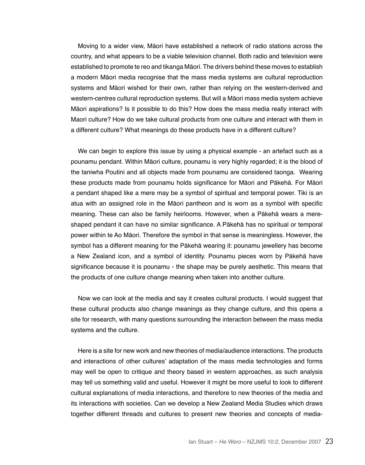Moving to a wider view, Māori have established a network of radio stations across the country, and what appears to be a viable television channel. Both radio and television were established to promote te reo and tikanga Māori. The drivers behind these moves to establish a modern Māori media recognise that the mass media systems are cultural reproduction systems and Māori wished for their own, rather than relying on the western-derived and western-centres cultural reproduction systems. But will a Māori mass media system achieve Māori aspirations? Is it possible to do this? How does the mass media really interact with Maori culture? How do we take cultural products from one culture and interact with them in a different culture? What meanings do these products have in a different culture?

We can begin to explore this issue by using a physical example - an artefact such as a pounamu pendant. Within Māori culture, pounamu is very highly regarded; it is the blood of the taniwha Poutini and all objects made from pounamu are considered taonga. Wearing these products made from pounamu holds significance for Māori and Pākehā. For Māori a pendant shaped like a mere may be a symbol of spiritual and temporal power. Tiki is an atua with an assigned role in the Māori pantheon and is worn as a symbol with specific meaning. These can also be family heirlooms. However, when a Pākehā wears a mereshaped pendant it can have no similar significance. A Pākehā has no spiritual or temporal power within te Ao Māori. Therefore the symbol in that sense is meaningless. However, the symbol has a different meaning for the Pākehā wearing it: pounamu jewellery has become a New Zealand icon, and a symbol of identity. Pounamu pieces worn by Pākehā have significance because it is pounamu - the shape may be purely aesthetic. This means that the products of one culture change meaning when taken into another culture.

Now we can look at the media and say it creates cultural products. I would suggest that these cultural products also change meanings as they change culture, and this opens a site for research, with many questions surrounding the interaction between the mass media systems and the culture.

Here is a site for new work and new theories of media/audience interactions. The products and interactions of other cultures' adaptation of the mass media technologies and forms may well be open to critique and theory based in western approaches, as such analysis may tell us something valid and useful. However it might be more useful to look to different cultural explanations of media interactions, and therefore to new theories of the media and its interactions with societies. Can we develop a New Zealand Media Studies which draws together different threads and cultures to present new theories and concepts of media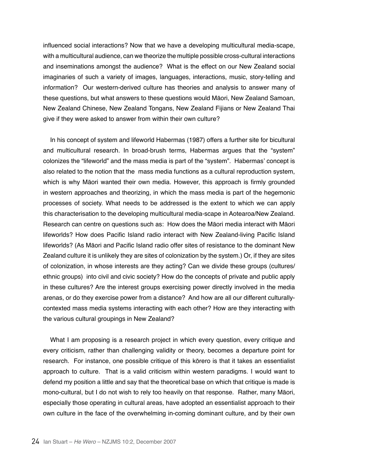influenced social interactions? Now that we have a developing multicultural media-scape, with a multicultural audience, can we theorize the multiple possible cross-cultural interactions and inseminations amongst the audience? What is the effect on our New Zealand social imaginaries of such a variety of images, languages, interactions, music, story-telling and information? Our western-derived culture has theories and analysis to answer many of these questions, but what answers to these questions would Māori, New Zealand Samoan, New Zealand Chinese, New Zealand Tongans, New Zealand Fijians or New Zealand Thai give if they were asked to answer from within their own culture?

In his concept of system and lifeworld Habermas (1987) offers a further site for bicultural and multicultural research. In broad-brush terms, Habermas argues that the "system" colonizes the "lifeworld" and the mass media is part of the "system". Habermas' concept is also related to the notion that the mass media functions as a cultural reproduction system, which is why Māori wanted their own media. However, this approach is firmly grounded in western approaches and theorizing, in which the mass media is part of the hegemonic processes of society. What needs to be addressed is the extent to which we can apply this characterisation to the developing multicultural media-scape in Aotearoa/New Zealand. Research can centre on questions such as: How does the Māori media interact with Māori lifeworlds? How does Pacific Island radio interact with New Zealand-living Pacific Island lifeworlds? (As Māori and Pacific Island radio offer sites of resistance to the dominant New Zealand culture it is unlikely they are sites of colonization by the system.) Or, if they are sites of colonization, in whose interests are they acting? Can we divide these groups (cultures/ ethnic groups) into civil and civic society? How do the concepts of private and public apply in these cultures? Are the interest groups exercising power directly involved in the media arenas, or do they exercise power from a distance? And how are all our different culturallycontexted mass media systems interacting with each other? How are they interacting with the various cultural groupings in New Zealand?

What I am proposing is a research project in which every question, every critique and every criticism, rather than challenging validity or theory, becomes a departure point for research. For instance, one possible critique of this kōrero is that it takes an essentialist approach to culture. That is a valid criticism within western paradigms. I would want to defend my position a little and say that the theoretical base on which that critique is made is mono-cultural, but I do not wish to rely too heavily on that response. Rather, many Māori, especially those operating in cultural areas, have adopted an essentialist approach to their own culture in the face of the overwhelming in-coming dominant culture, and by their own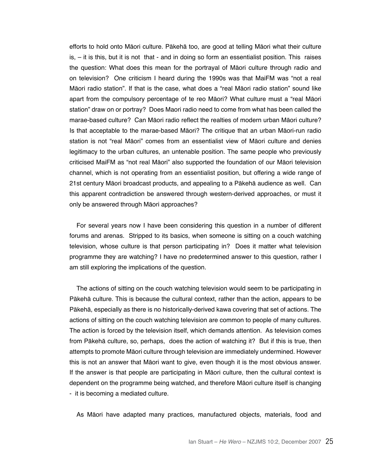efforts to hold onto Māori culture. Pākehā too, are good at telling Māori what their culture is, – it is this, but it is not that - and in doing so form an essentialist position. This raises the question: What does this mean for the portrayal of Māori culture through radio and on television? One criticism I heard during the 1990s was that MaiFM was "not a real Māori radio station". If that is the case, what does a "real Māori radio station" sound like apart from the compulsory percentage of te reo Māori? What culture must a "real Māori station" draw on or portray? Does Maori radio need to come from what has been called the marae-based culture? Can Māori radio reflect the realties of modern urban Māori culture? Is that acceptable to the marae-based Māori? The critique that an urban Māori-run radio station is not "real Māori" comes from an essentialist view of Māori culture and denies legitimacy to the urban cultures, an untenable position. The same people who previously criticised MaiFM as "not real Māori" also supported the foundation of our Māori television channel, which is not operating from an essentialist position, but offering a wide range of 21st century Māori broadcast products, and appealing to a Pākehā audience as well. Can this apparent contradiction be answered through western-derived approaches, or must it only be answered through Māori approaches?

For several years now I have been considering this question in a number of different forums and arenas. Stripped to its basics, when someone is sitting on a couch watching television, whose culture is that person participating in? Does it matter what television programme they are watching? I have no predetermined answer to this question, rather I am still exploring the implications of the question.

The actions of sitting on the couch watching television would seem to be participating in Pākehā culture. This is because the cultural context, rather than the action, appears to be Pākehā, especially as there is no historically-derived kawa covering that set of actions. The actions of sitting on the couch watching television are common to people of many cultures. The action is forced by the television itself, which demands attention. As television comes from Pākehā culture, so, perhaps, does the action of watching it? But if this is true, then attempts to promote Māori culture through television are immediately undermined. However this is not an answer that Māori want to give, even though it is the most obvious answer. If the answer is that people are participating in Māori culture, then the cultural context is dependent on the programme being watched, and therefore Māori culture itself is changing - it is becoming a mediated culture.

As Māori have adapted many practices, manufactured objects, materials, food and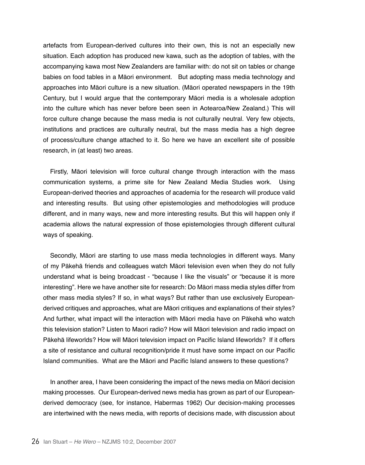artefacts from European-derived cultures into their own, this is not an especially new situation. Each adoption has produced new kawa, such as the adoption of tables, with the accompanying kawa most New Zealanders are familiar with: do not sit on tables or change babies on food tables in a Māori environment. But adopting mass media technology and approaches into Māori culture is a new situation. (Māori operated newspapers in the 19th Century, but I would argue that the contemporary Māori media is a wholesale adoption into the culture which has never before been seen in Aotearoa/New Zealand.) This will force culture change because the mass media is not culturally neutral. Very few objects, institutions and practices are culturally neutral, but the mass media has a high degree of process/culture change attached to it. So here we have an excellent site of possible research, in (at least) two areas.

Firstly, Māori television will force cultural change through interaction with the mass communication systems, a prime site for New Zealand Media Studies work. Using European-derived theories and approaches of academia for the research will produce valid and interesting results. But using other epistemologies and methodologies will produce different, and in many ways, new and more interesting results. But this will happen only if academia allows the natural expression of those epistemologies through different cultural ways of speaking.

Secondly, Māori are starting to use mass media technologies in different ways. Many of my Pākehā friends and colleagues watch Māori television even when they do not fully understand what is being broadcast - "because I like the visuals" or "because it is more interesting". Here we have another site for research: Do Māori mass media styles differ from other mass media styles? If so, in what ways? But rather than use exclusively Europeanderived critiques and approaches, what are Māori critiques and explanations of their styles? And further, what impact will the interaction with Māori media have on Pākehā who watch this television station? Listen to Maori radio? How will Māori television and radio impact on Pākehā lifeworlds? How will Māori television impact on Pacific Island lifeworlds? If it offers a site of resistance and cultural recognition/pride it must have some impact on our Pacific Island communities. What are the Māori and Pacific Island answers to these questions?

In another area, I have been considering the impact of the news media on Māori decision making processes. Our European-derived news media has grown as part of our Europeanderived democracy (see, for instance, Habermas 1962) Our decision-making processes are intertwined with the news media, with reports of decisions made, with discussion about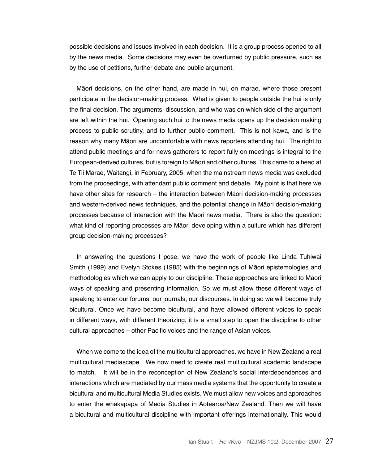possible decisions and issues involved in each decision. It is a group process opened to all by the news media. Some decisions may even be overturned by public pressure, such as by the use of petitions, further debate and public argument.

Māori decisions, on the other hand, are made in hui, on marae, where those present participate in the decision-making process. What is given to people outside the hui is only the final decision. The arguments, discussion, and who was on which side of the argument are left within the hui. Opening such hui to the news media opens up the decision making process to public scrutiny, and to further public comment. This is not kawa, and is the reason why many Māori are uncomfortable with news reporters attending hui. The right to attend public meetings and for news gatherers to report fully on meetings is integral to the European-derived cultures, but is foreign to Māori and other cultures. This came to a head at Te Tii Marae, Waitangi, in February, 2005, when the mainstream news media was excluded from the proceedings, with attendant public comment and debate. My point is that here we have other sites for research – the interaction between Māori decision-making processes and western-derived news techniques, and the potential change in Māori decision-making processes because of interaction with the Māori news media. There is also the question: what kind of reporting processes are Māori developing within a culture which has different group decision-making processes?

In answering the questions I pose, we have the work of people like Linda Tuhiwai Smith (1999) and Evelyn Stokes (1985) with the beginnings of Māori epistemologies and methodologies which we can apply to our discipline. These approaches are linked to Māori ways of speaking and presenting information, So we must allow these different ways of speaking to enter our forums, our journals, our discourses. In doing so we will become truly bicultural. Once we have become bicultural, and have allowed different voices to speak in different ways, with different theorizing, it is a small step to open the discipline to other cultural approaches – other Pacific voices and the range of Asian voices.

When we come to the idea of the multicultural approaches, we have in New Zealand a real multicultural mediascape. We now need to create real multicultural academic landscape to match. It will be in the reconception of New Zealand's social interdependences and interactions which are mediated by our mass media systems that the opportunity to create a bicultural and multicultural Media Studies exists. We must allow new voices and approaches to enter the whakapapa of Media Studies in Aotearoa/New Zealand. Then we will have a bicultural and multicultural discipline with important offerings internationally. This would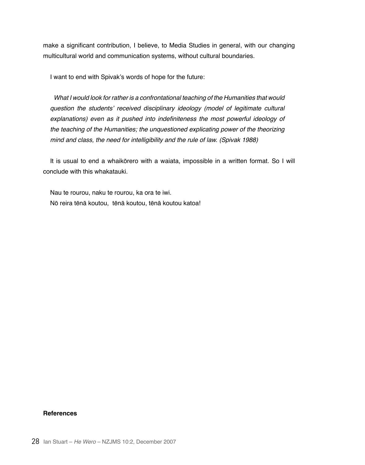make a significant contribution, I believe, to Media Studies in general, with our changing multicultural world and communication systems, without cultural boundaries.

I want to end with Spivak's words of hope for the future:

What I would look for rather is a confrontational teaching of the Humanities that would question the students' received disciplinary ideology (model of legitimate cultural explanations) even as it pushed into indefiniteness the most powerful ideology of the teaching of the Humanities; the unquestioned explicating power of the theorizing mind and class, the need for intelligibility and the rule of law. (Spivak 1988)

It is usual to end a whaikōrero with a waiata, impossible in a written format. So I will conclude with this whakatauki.

Nau te rourou, naku te rourou, ka ora te iwi. Nō reira tēnā koutou, tēnā koutou, tēnā koutou katoa!

## **References**